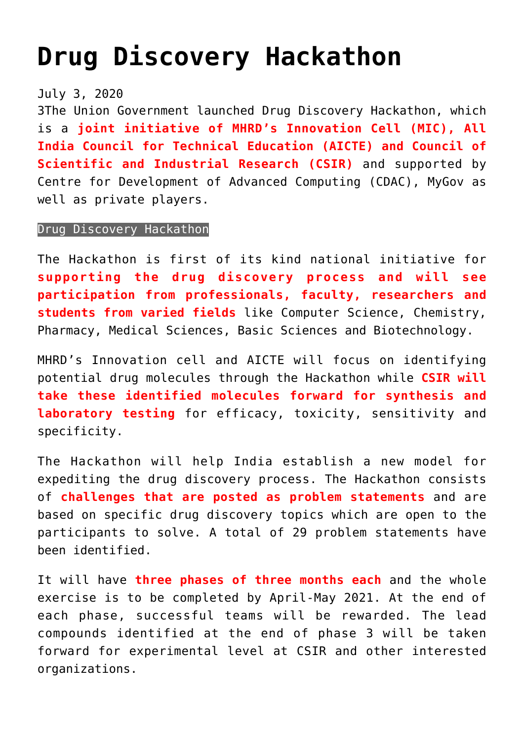## **[Drug Discovery Hackathon](https://journalsofindia.com/drug-discovery-hackathon/)**

July 3, 2020

3The Union Government launched Drug Discovery Hackathon, which is a **joint initiative of MHRD's Innovation Cell (MIC), All India Council for Technical Education (AICTE) and Council of Scientific and Industrial Research (CSIR)** and supported by Centre for Development of Advanced Computing (CDAC), MyGov as well as private players.

## Drug Discovery Hackathon

The Hackathon is first of its kind national initiative for **supporting the drug discovery process and will see participation from professionals, faculty, researchers and students from varied fields** like Computer Science, Chemistry, Pharmacy, Medical Sciences, Basic Sciences and Biotechnology.

MHRD's Innovation cell and AICTE will focus on identifying potential drug molecules through the Hackathon while **CSIR will take these identified molecules forward for synthesis and laboratory testing** for efficacy, toxicity, sensitivity and specificity.

The Hackathon will help India establish a new model for expediting the drug discovery process. The Hackathon consists of **challenges that are posted as problem statements** and are based on specific drug discovery topics which are open to the participants to solve. A total of 29 problem statements have been identified.

It will have **three phases of three months each** and the whole exercise is to be completed by April-May 2021. At the end of each phase, successful teams will be rewarded. The lead compounds identified at the end of phase 3 will be taken forward for experimental level at CSIR and other interested organizations.